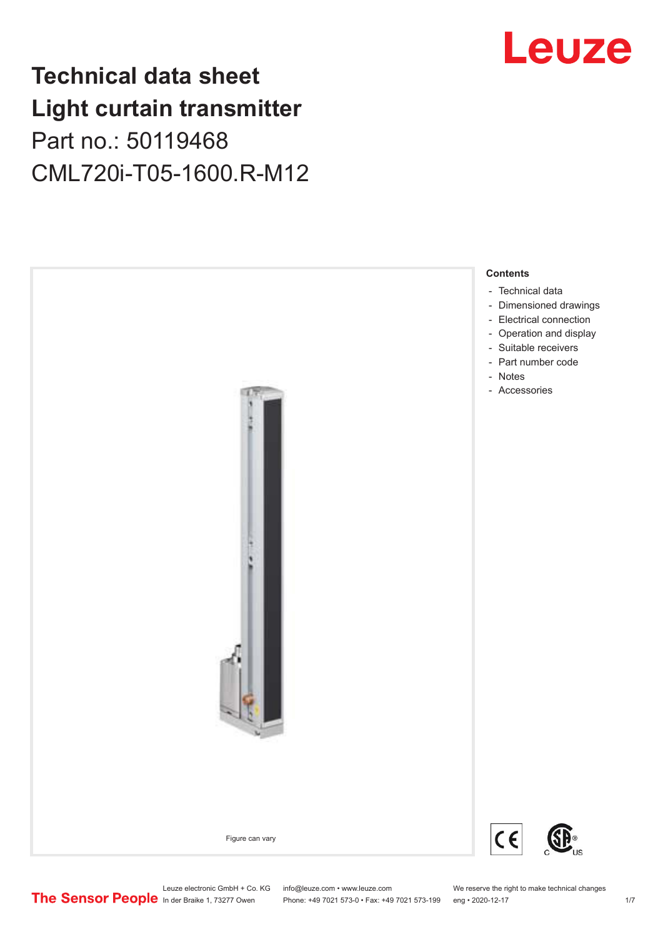# **Technical data sheet Light curtain transmitter** Part no.: 50119468 CML720i-T05-1600.R-M12





Leuze electronic GmbH + Co. KG info@leuze.com • www.leuze.com We reserve the right to make technical changes<br>
The Sensor People in der Braike 1, 73277 Owen Phone: +49 7021 573-0 • Fax: +49 7021 573-199 eng • 2020-12-17 Phone: +49 7021 573-0 • Fax: +49 7021 573-199 eng • 2020-12-17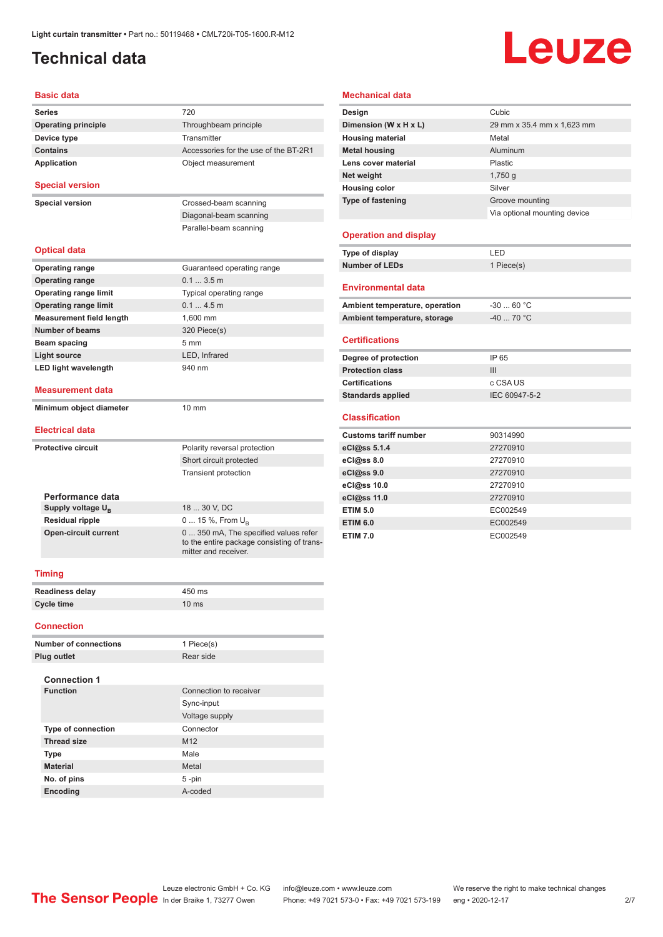# <span id="page-1-0"></span>**Technical data**

# Leuze

#### **Basic data**

| <b>Series</b>                   | 720                                                                                                         |  |  |
|---------------------------------|-------------------------------------------------------------------------------------------------------------|--|--|
| <b>Operating principle</b>      | Throughbeam principle                                                                                       |  |  |
| Device type                     | Transmitter                                                                                                 |  |  |
| <b>Contains</b>                 | Accessories for the use of the BT-2R1                                                                       |  |  |
| <b>Application</b>              | Object measurement                                                                                          |  |  |
| <b>Special version</b>          |                                                                                                             |  |  |
| <b>Special version</b>          | Crossed-beam scanning                                                                                       |  |  |
|                                 | Diagonal-beam scanning                                                                                      |  |  |
|                                 | Parallel-beam scanning                                                                                      |  |  |
| <b>Optical data</b>             |                                                                                                             |  |  |
| <b>Operating range</b>          | Guaranteed operating range                                                                                  |  |  |
| <b>Operating range</b>          | 0.13.5m                                                                                                     |  |  |
| <b>Operating range limit</b>    | Typical operating range                                                                                     |  |  |
| <b>Operating range limit</b>    | 0.14.5m                                                                                                     |  |  |
| <b>Measurement field length</b> | 1.600 mm                                                                                                    |  |  |
| Number of beams                 | 320 Piece(s)                                                                                                |  |  |
| Beam spacing                    | 5 <sub>mm</sub>                                                                                             |  |  |
| <b>Light source</b>             | LED. Infrared                                                                                               |  |  |
| <b>LED light wavelength</b>     | 940 nm                                                                                                      |  |  |
| <b>Measurement data</b>         |                                                                                                             |  |  |
| Minimum object diameter         | $10 \text{ mm}$                                                                                             |  |  |
| <b>Electrical data</b>          |                                                                                                             |  |  |
| <b>Protective circuit</b>       | Polarity reversal protection                                                                                |  |  |
|                                 | Short circuit protected                                                                                     |  |  |
|                                 | <b>Transient protection</b>                                                                                 |  |  |
| Performance data                |                                                                                                             |  |  |
| Supply voltage $U_{B}$          | 18  30 V, DC                                                                                                |  |  |
| <b>Residual ripple</b>          | 0  15 %, From $U_{B}$                                                                                       |  |  |
| <b>Open-circuit current</b>     | 0  350 mA, The specified values refer<br>to the entire package consisting of trans-<br>mitter and receiver. |  |  |
| <b>Timing</b>                   |                                                                                                             |  |  |
| <b>Readiness delay</b>          | 450 ms                                                                                                      |  |  |
| <b>Cycle time</b>               | 10 <sub>ms</sub>                                                                                            |  |  |
| <b>Connection</b>               |                                                                                                             |  |  |
|                                 |                                                                                                             |  |  |

| <b>Number of connections</b> | 1 Piece(s)             |
|------------------------------|------------------------|
| Plug outlet                  | Rear side              |
|                              |                        |
| <b>Connection 1</b>          |                        |
| <b>Function</b>              | Connection to receiver |
|                              | Sync-input             |
|                              | Voltage supply         |
| <b>Type of connection</b>    | Connector              |
| <b>Thread size</b>           | M <sub>12</sub>        |
| <b>Type</b>                  | Male                   |
| <b>Material</b>              | Metal                  |
| No. of pins                  | $5 - pin$              |
| <b>Encoding</b>              | A-coded                |

#### **Mechanical data**

| Design                       | Cubic                        |
|------------------------------|------------------------------|
| Dimension (W x H x L)        | 29 mm x 35.4 mm x 1,623 mm   |
| <b>Housing material</b>      | Metal                        |
| <b>Metal housing</b>         | Aluminum                     |
| Lens cover material          | Plastic                      |
| Net weight                   | 1,750q                       |
| <b>Housing color</b>         | Silver                       |
| <b>Type of fastening</b>     | Groove mounting              |
|                              | Via optional mounting device |
|                              |                              |
| <b>Operation and display</b> |                              |
|                              |                              |

| Type of display | ' FD.      |
|-----------------|------------|
| Number of LEDs  | 1 Piece(s) |
|                 |            |

#### **Environmental data**

| Ambient temperature, operation | -30  60 °C                       |
|--------------------------------|----------------------------------|
| Ambient temperature, storage   | $-40$ 70 $^{\circ}$ C $^{\circ}$ |

#### **Certifications**

| Degree of protection     | IP 65         |
|--------------------------|---------------|
| <b>Protection class</b>  | Ш             |
| <b>Certifications</b>    | c CSA US      |
| <b>Standards applied</b> | IEC 60947-5-2 |

#### **Classification**

| <b>Customs tariff number</b> | 90314990 |
|------------------------------|----------|
| eCl@ss 5.1.4                 | 27270910 |
| eCl@ss 8.0                   | 27270910 |
| eCl@ss 9.0                   | 27270910 |
| eCl@ss 10.0                  | 27270910 |
| eCl@ss 11.0                  | 27270910 |
| <b>ETIM 5.0</b>              | EC002549 |
| <b>ETIM 6.0</b>              | EC002549 |
| <b>ETIM 7.0</b>              | EC002549 |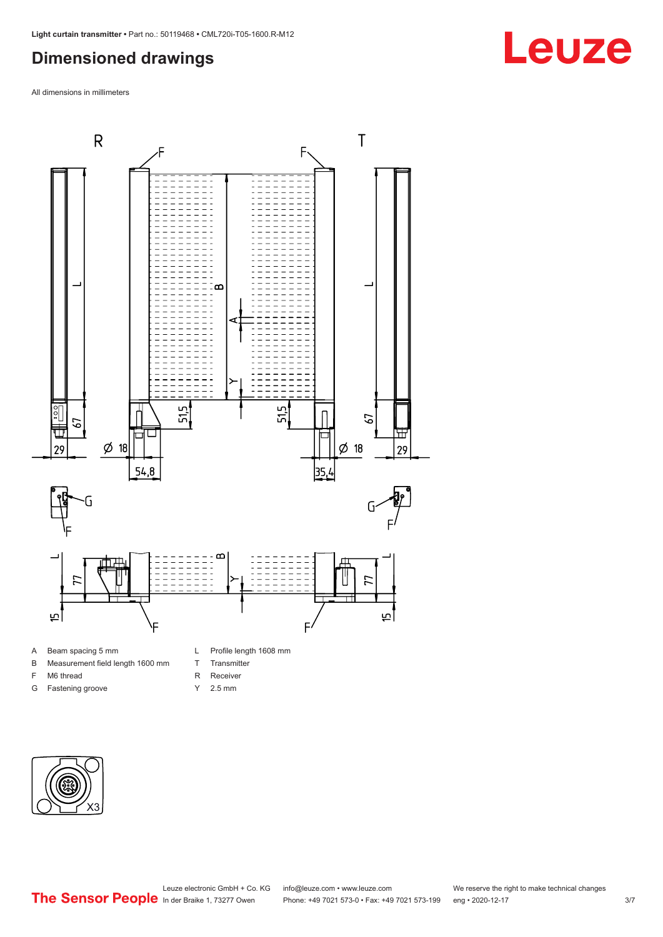### <span id="page-2-0"></span>**Dimensioned drawings**

All dimensions in millimeters



#### A Beam spacing 5 mm

- B Measurement field length 1600 mm
- F M6 thread
- G Fastening groove
- L Profile length 1608 mm
- T Transmitter
- R Receiver
- Y 2.5 mm



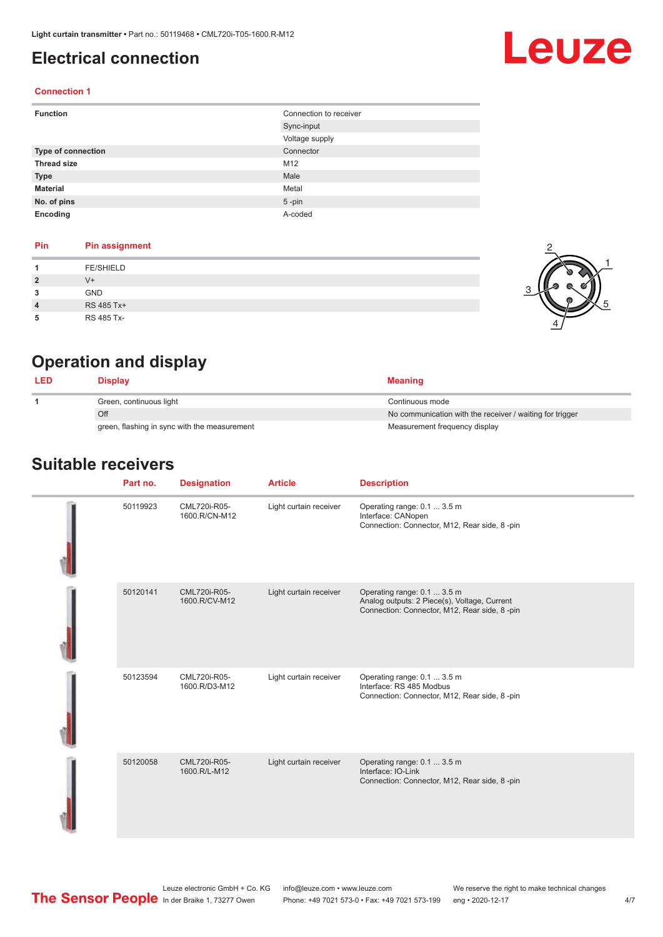## <span id="page-3-0"></span>**Electrical connection**

# Leuze

2

1

5

#### **Connection 1**

| <b>Function</b>    | Connection to receiver |
|--------------------|------------------------|
|                    | Sync-input             |
|                    | Voltage supply         |
| Type of connection | Connector              |
| <b>Thread size</b> | M12                    |
| <b>Type</b>        | Male                   |
| <b>Material</b>    | Metal                  |
| No. of pins        | $5$ -pin               |
| Encoding           | A-coded                |

#### **Pin Pin assignment**

|                         | <b>FE/SHIELD</b> |  |
|-------------------------|------------------|--|
| $\overline{2}$          | V+               |  |
| 3                       | <b>GND</b>       |  |
| $\overline{\mathbf{4}}$ | RS 485 Tx+       |  |
| 5                       | RS 485 Tx-       |  |

## **Operation and display**

| <b>LED</b> | Display                                      | <b>Meaning</b>                                           |
|------------|----------------------------------------------|----------------------------------------------------------|
|            | Green, continuous light                      | Continuous mode                                          |
|            | Off                                          | No communication with the receiver / waiting for trigger |
|            | green, flashing in sync with the measurement | Measurement frequency display                            |

#### **Suitable receivers**

| Part no. | <b>Designation</b>            | <b>Article</b>         | <b>Description</b>                                                                                                          |
|----------|-------------------------------|------------------------|-----------------------------------------------------------------------------------------------------------------------------|
| 50119923 | CML720i-R05-<br>1600.R/CN-M12 | Light curtain receiver | Operating range: 0.1  3.5 m<br>Interface: CANopen<br>Connection: Connector, M12, Rear side, 8-pin                           |
| 50120141 | CML720i-R05-<br>1600.R/CV-M12 | Light curtain receiver | Operating range: 0.1  3.5 m<br>Analog outputs: 2 Piece(s), Voltage, Current<br>Connection: Connector, M12, Rear side, 8-pin |
| 50123594 | CML720i-R05-<br>1600.R/D3-M12 | Light curtain receiver | Operating range: 0.1  3.5 m<br>Interface: RS 485 Modbus<br>Connection: Connector, M12, Rear side, 8-pin                     |
| 50120058 | CML720i-R05-<br>1600.R/L-M12  | Light curtain receiver | Operating range: 0.1  3.5 m<br>Interface: IO-Link<br>Connection: Connector, M12, Rear side, 8-pin                           |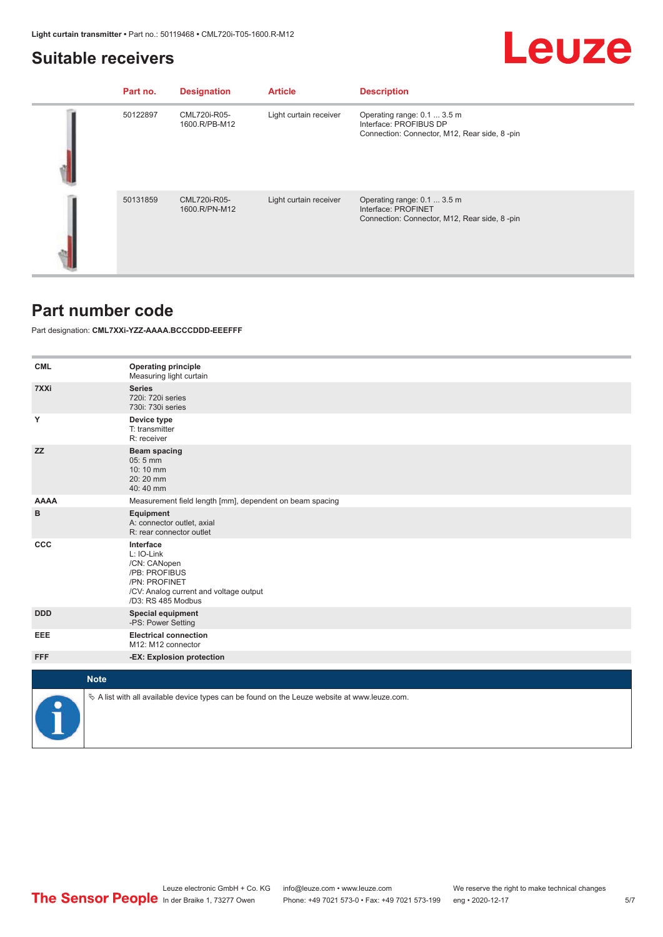#### <span id="page-4-0"></span>**Suitable receivers**

# **Leuze**

| Part no. | <b>Designation</b>            | <b>Article</b>         | <b>Description</b>                                                                                    |
|----------|-------------------------------|------------------------|-------------------------------------------------------------------------------------------------------|
| 50122897 | CML720i-R05-<br>1600.R/PB-M12 | Light curtain receiver | Operating range: 0.1  3.5 m<br>Interface: PROFIBUS DP<br>Connection: Connector, M12, Rear side, 8-pin |
| 50131859 | CML720i-R05-<br>1600.R/PN-M12 | Light curtain receiver | Operating range: 0.1  3.5 m<br>Interface: PROFINET<br>Connection: Connector, M12, Rear side, 8-pin    |

#### **Part number code**

Part designation: **CML7XXi-YZZ-AAAA.BCCCDDD-EEEFFF**

| <b>CML</b>  | <b>Operating principle</b><br>Measuring light curtain                                                                                     |
|-------------|-------------------------------------------------------------------------------------------------------------------------------------------|
| 7XXi        | <b>Series</b><br>720i: 720i series<br>730i: 730i series                                                                                   |
| Υ           | Device type<br>T: transmitter<br>R: receiver                                                                                              |
| <b>ZZ</b>   | Beam spacing<br>05:5 mm<br>10:10 mm<br>20:20 mm<br>40:40 mm                                                                               |
| <b>AAAA</b> | Measurement field length [mm], dependent on beam spacing                                                                                  |
| в           | Equipment<br>A: connector outlet, axial<br>R: rear connector outlet                                                                       |
| <b>CCC</b>  | Interface<br>L: IO-Link<br>/CN: CANopen<br>/PB: PROFIBUS<br>/PN: PROFINET<br>/CV: Analog current and voltage output<br>/D3: RS 485 Modbus |
| <b>DDD</b>  | <b>Special equipment</b><br>-PS: Power Setting                                                                                            |
| EEE         | <b>Electrical connection</b><br>M12: M12 connector                                                                                        |
| <b>FFF</b>  | -EX: Explosion protection                                                                                                                 |
|             | <b>Note</b>                                                                                                                               |
|             |                                                                                                                                           |
|             | $\&$ A list with all available device types can be found on the Leuze website at www.leuze.com.                                           |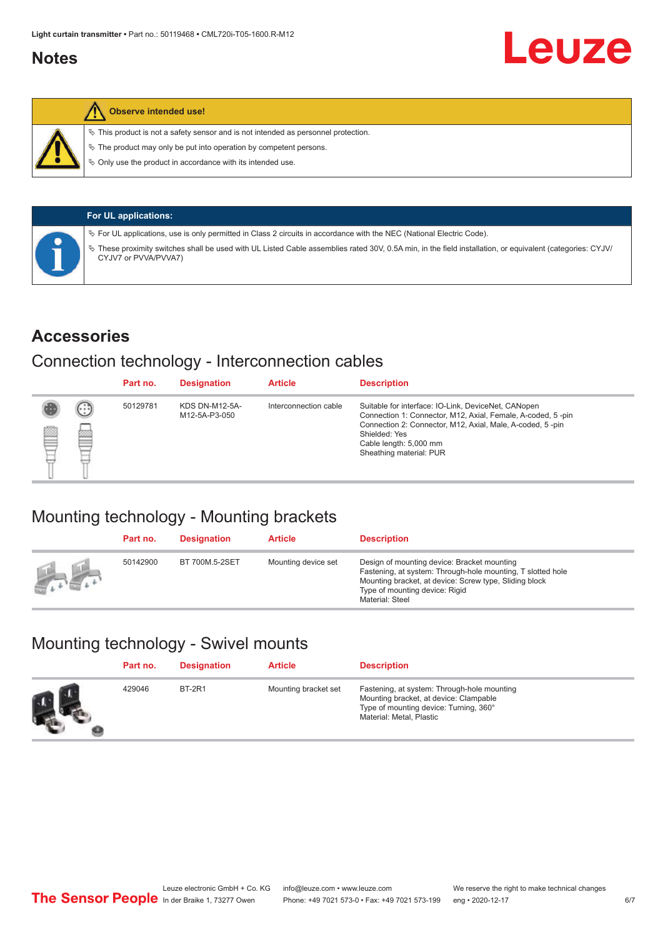### <span id="page-5-0"></span>**Notes**



#### **Observe intended use!**

 $\%$  This product is not a safety sensor and is not intended as personnel protection.

 $\%$  The product may only be put into operation by competent persons.

 $\%$  Only use the product in accordance with its intended use.

| <b>For UL applications:</b>                                                                                                                                                     |
|---------------------------------------------------------------------------------------------------------------------------------------------------------------------------------|
| $\%$ For UL applications, use is only permitted in Class 2 circuits in accordance with the NEC (National Electric Code).                                                        |
| These proximity switches shall be used with UL Listed Cable assemblies rated 30V, 0.5A min, in the field installation, or equivalent (categories: CYJV/<br>CYJV7 or PVVA/PVVA7) |

#### **Accessories**

### Connection technology - Interconnection cables

|   |        | Part no. | <b>Designation</b>                     | <b>Article</b>        | <b>Description</b>                                                                                                                                                                                                                                    |
|---|--------|----------|----------------------------------------|-----------------------|-------------------------------------------------------------------------------------------------------------------------------------------------------------------------------------------------------------------------------------------------------|
| Ø | ⊙<br>œ | 50129781 | <b>KDS DN-M12-5A-</b><br>M12-5A-P3-050 | Interconnection cable | Suitable for interface: IO-Link, DeviceNet, CANopen<br>Connection 1: Connector, M12, Axial, Female, A-coded, 5-pin<br>Connection 2: Connector, M12, Axial, Male, A-coded, 5-pin<br>Shielded: Yes<br>Cable length: 5,000 mm<br>Sheathing material: PUR |

## Mounting technology - Mounting brackets

|               | Part no. | <b>Designation</b> | <b>Article</b>      | <b>Description</b>                                                                                                                                                                                                        |
|---------------|----------|--------------------|---------------------|---------------------------------------------------------------------------------------------------------------------------------------------------------------------------------------------------------------------------|
| <b>Altres</b> | 50142900 | BT 700M.5-2SET     | Mounting device set | Design of mounting device: Bracket mounting<br>Fastening, at system: Through-hole mounting, T slotted hole<br>Mounting bracket, at device: Screw type, Sliding block<br>Type of mounting device: Rigid<br>Material: Steel |

# Mounting technology - Swivel mounts

| Part no. | <b>Designation</b> | <b>Article</b>       | <b>Description</b>                                                                                                                                          |
|----------|--------------------|----------------------|-------------------------------------------------------------------------------------------------------------------------------------------------------------|
| 429046   | <b>BT-2R1</b>      | Mounting bracket set | Fastening, at system: Through-hole mounting<br>Mounting bracket, at device: Clampable<br>Type of mounting device: Turning, 360°<br>Material: Metal, Plastic |

Leuze